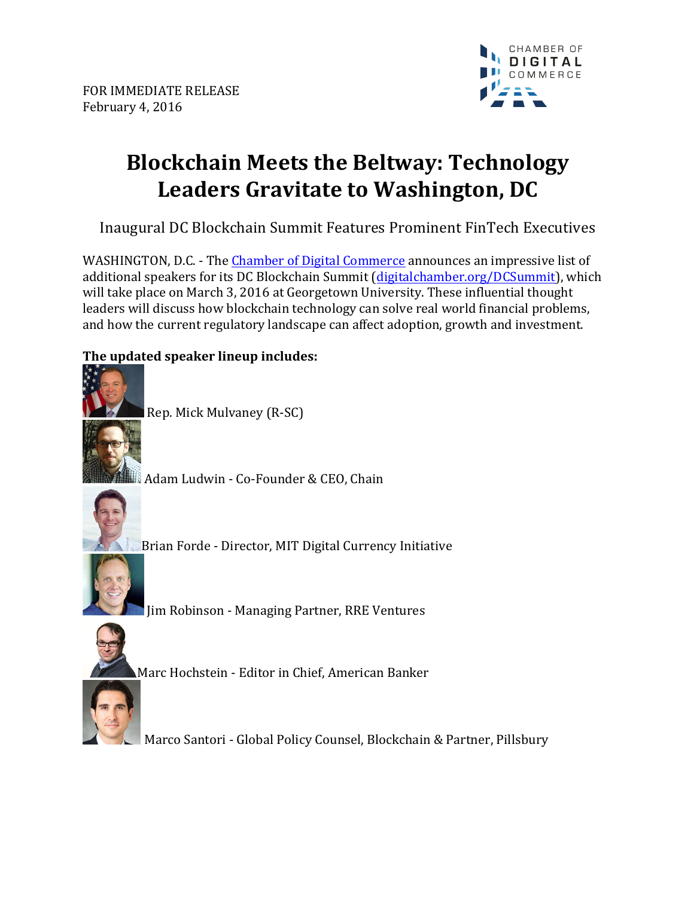

## **Blockchain Meets the Beltway: Technology Leaders Gravitate to Washington, DC**

Inaugural DC Blockchain Summit Features Prominent FinTech Executives

WASHINGTON, D.C. - The Chamber of Digital Commerce announces an impressive list of additional speakers for its DC Blockchain Summit (digitalchamber.org/DCSummit), which will take place on March 3, 2016 at Georgetown University. These influential thought leaders will discuss how blockchain technology can solve real world financial problems, and how the current regulatory landscape can affect adoption, growth and investment.

## **The updated speaker lineup includes:**



Rep. Mick Mulvaney (R-SC)

Adam Ludwin - Co-Founder & CEO, Chain



Brian Forde - Director, MIT Digital Currency Initiative



In Robinson - Managing Partner, RRE Ventures



Marc Hochstein - Editor in Chief, American Banker

Marco Santori - Global Policy Counsel, Blockchain & Partner, Pillsbury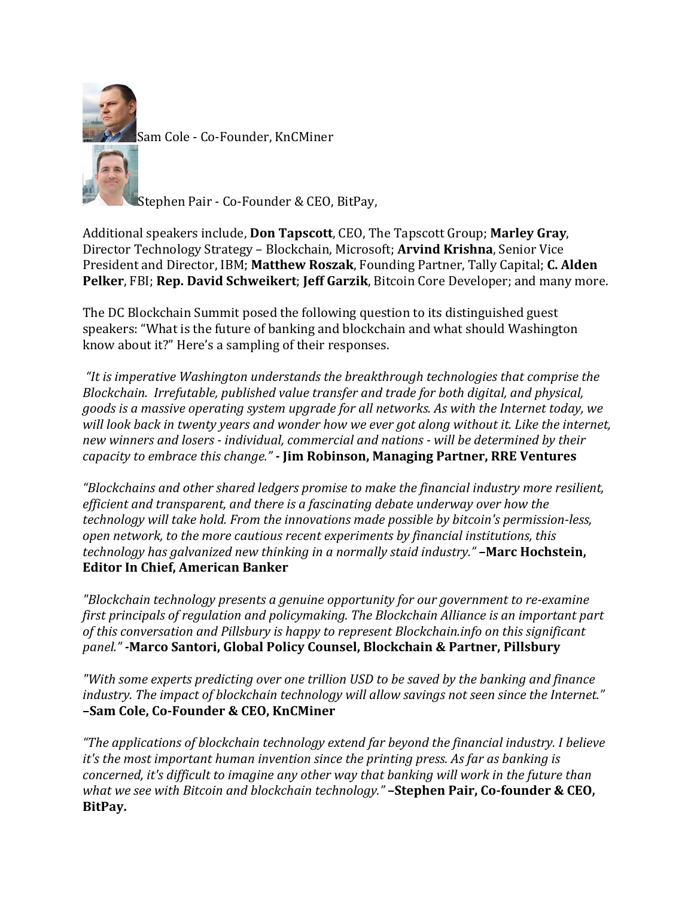

Stephen Pair - Co-Founder & CEO, BitPay,

Additional speakers include, **Don Tapscott**, CEO, The Tapscott Group; **Marley Gray**, Director Technology Strategy - Blockchain, Microsoft; Arvind Krishna, Senior Vice President and Director, IBM; Matthew Roszak, Founding Partner, Tally Capital; C. Alden **Pelker**, FBI; **Rep. David Schweikert; Jeff Garzik**, Bitcoin Core Developer; and many more.

The DC Blockchain Summit posed the following question to its distinguished guest speakers: "What is the future of banking and blockchain and what should Washington know about it?" Here's a sampling of their responses.

"It is imperative Washington understands the breakthrough technologies that comprise the *Blockchain. Irrefutable, published value transfer and trade for both digital, and physical, goods* is a massive operating system upgrade for all networks. As with the Internet today, we will look back in twenty years and wonder how we ever got along without it. Like the internet, new winners and losers - *individual, commercial and nations* - will be determined by their *capacity to embrace this change."* - **Jim Robinson, Managing Partner, RRE Ventures** 

*"Blockchains and other shared ledgers promise to make the financial industry more resilient, efficient and transparent, and there is a fascinating debate underway over how the technology will take hold. From the innovations made possible by bitcoin's permission-less,* open network, to the more cautious recent experiments by financial institutions, this *technology has galvanized new thinking in a normally staid industry.*" **–Marc Hochstein, Editor In Chief, American Banker** 

*"Blockchain technology presents a genuine opportunity for our government to re-examine first principals of regulation and policymaking. The Blockchain Alliance is an important part* of this conversation and Pillsbury is happy to represent Blockchain.info on this significant *panel." -***Marco Santori, Global Policy Counsel, Blockchain & Partner, Pillsbury**

*"With some experts predicting over one trillion USD to be saved by the banking and finance industry.* The *impact of blockchain technology will allow savings not seen since the Internet."* **–Sam Cole, Co-Founder & CEO, KnCMiner**

*"The applications of blockchain technology extend far beyond the financial industry. I believe it's* the most important human invention since the printing press. As far as banking is *concerned, it's difficult to imagine any other way that banking will work in the future than what* we see with Bitcoin and blockchain technology." **–Stephen Pair, Co-founder & CEO, BitPay.**